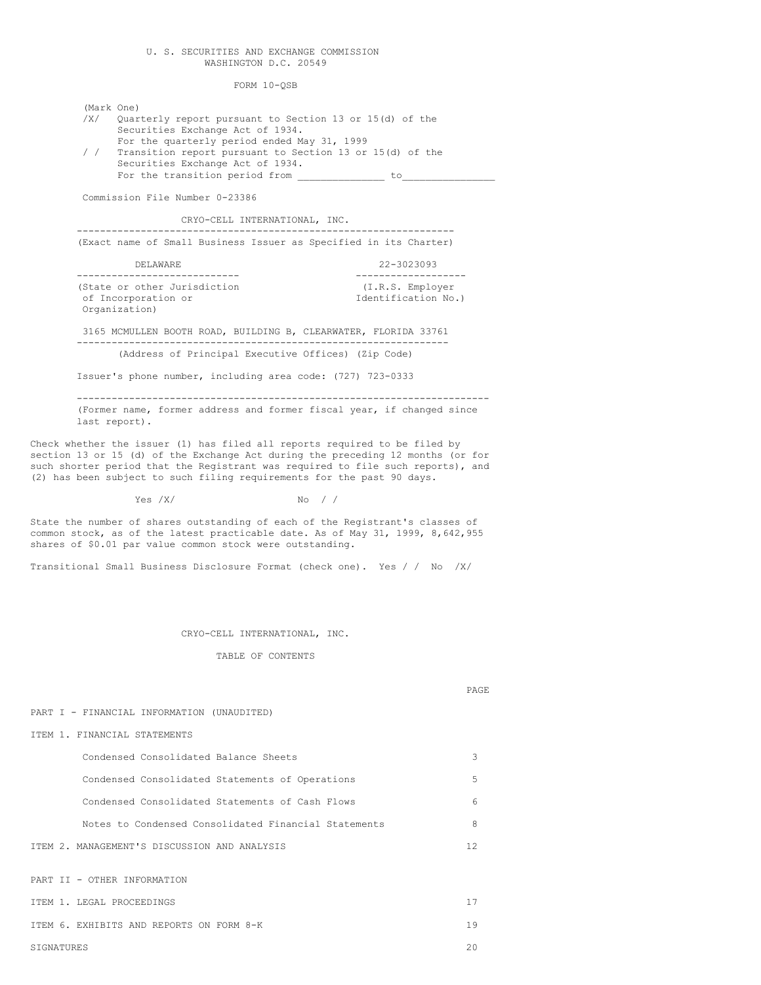## U. S. SECURITIES AND EXCHANGE COMMISSION WASHINGTON D.C. 20549

FORM 10-QSB

(Mark One) /X/ Quarterly report pursuant to Section 13 or 15(d) of the Securities Exchange Act of 1934. For the quarterly period ended May 31, 1999 / / Transition report pursuant to Section 13 or 15(d) of the Securities Exchange Act of 1934. For the transition period from \_\_\_\_\_\_\_\_\_\_\_\_\_\_\_ to\_\_\_\_\_\_\_\_\_\_\_\_\_\_\_\_ Commission File Number 0-23386 CRYO-CELL INTERNATIONAL, INC. ----------------------------------------------------------------- (Exact name of Small Business Issuer as Specified in its Charter) DELAWARE 22-3023093 ---------------------------- ------------------- (State or other Jurisdiction (I.R.S. Employer of Incorporation or Identification No.) Organization) 3165 MCMULLEN BOOTH ROAD, BUILDING B, CLEARWATER, FLORIDA 33761 ---------------------------------------------------------------- (Address of Principal Executive Offices) (Zip Code) Issuer's phone number, including area code: (727) 723-0333 ----------------------------------------------------------------------- (Former name, former address and former fiscal year, if changed since last report). Check whether the issuer (1) has filed all reports required to be filed by section 13 or 15 (d) of the Exchange Act during the preceding 12 months (or for such shorter period that the Registrant was required to file such reports), and (2) has been subject to such filing requirements for the past 90 days.  $Yes / X/$  No / /

State the number of shares outstanding of each of the Registrant's classes of common stock, as of the latest practicable date. As of May 31, 1999, 8,642,955 shares of \$0.01 par value common stock were outstanding.

Transitional Small Business Disclosure Format (check one). Yes / / No /X/

# CRYO-CELL INTERNATIONAL, INC.

TABLE OF CONTENTS

# PAGE

PART I - FINANCIAL INFORMATION (UNAUDITED)

#### ITEM 1. FINANCIAL STATEMENTS

| Condensed Consolidated Balance Sheets                | 3   |
|------------------------------------------------------|-----|
| Condensed Consolidated Statements of Operations      | .5  |
| Condensed Consolidated Statements of Cash Flows      | 6   |
| Notes to Condensed Consolidated Financial Statements | 8   |
| ITEM 2. MANAGEMENT'S DISCUSSION AND ANALYSIS         | 12. |
| PART II - OTHER INFORMATION                          |     |
| TTEM 1. LEGAL PROCEEDINGS                            | 17  |
| ITEM 6. EXHIBITS AND REPORTS ON FORM 8-K             | 19  |
| SIGNATURES                                           | 20  |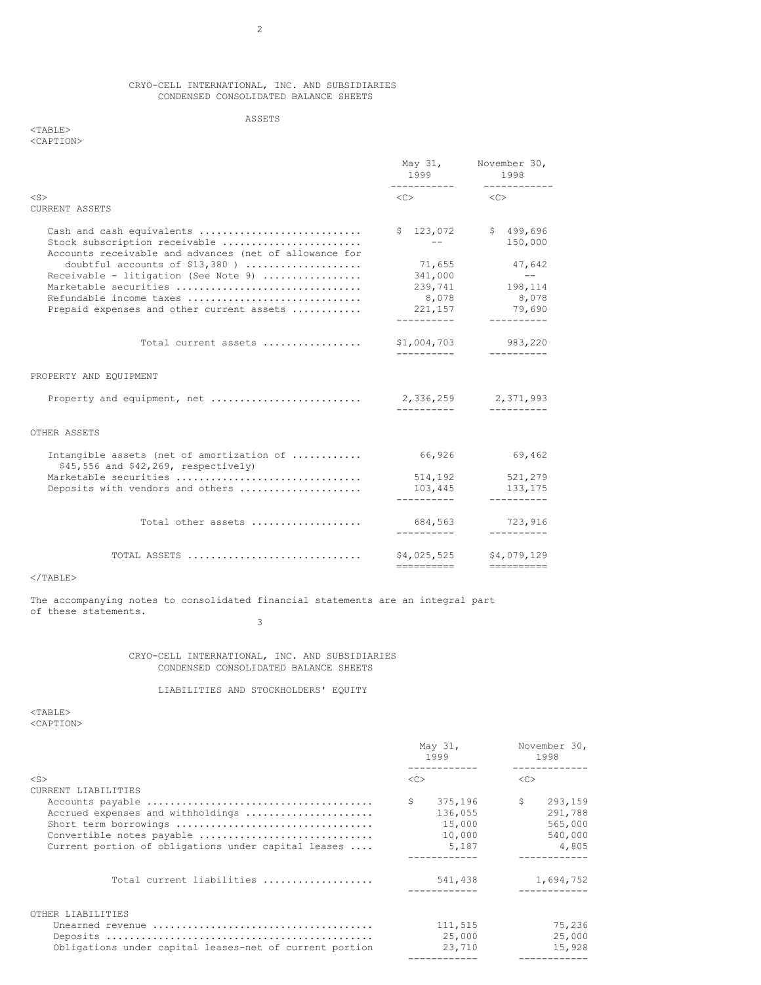# CRYO-CELL INTERNATIONAL, INC. AND SUBSIDIARIES CONDENSED CONSOLIDATED BALANCE SHEETS

# ASSETS

# <TABLE> <CAPTION>

|                                                                                                                      | 1999 1999                 | May 31, November 30,<br>1998<br>------------ |  |
|----------------------------------------------------------------------------------------------------------------------|---------------------------|----------------------------------------------|--|
| $<$ S $>$                                                                                                            | $\langle C \rangle$       | < <c></c>                                    |  |
| <b>CURRENT ASSETS</b>                                                                                                |                           |                                              |  |
| Cash and cash equivalents<br>Stock subscription receivable<br>Accounts receivable and advances (net of allowance for | $ -$                      | $$123,072$ $$499,696$<br>150,000             |  |
| doubtful accounts of $$13,380$ )                                                                                     | 71,655                    | 47,642                                       |  |
| Receivable - litigation (See Note 9)                                                                                 | 341,000                   | $\sim$ $ -$                                  |  |
| Marketable securities                                                                                                |                           | 239,741 198,114                              |  |
| Refundable income taxes                                                                                              | 8,078                     | 8,078                                        |  |
| Prepaid expenses and other current assets                                                                            |                           | 221, 157 79, 690                             |  |
| Total current assets                                                                                                 |                           | \$1,004,703 983,220<br>-----------           |  |
| PROPERTY AND EQUIPMENT                                                                                               |                           |                                              |  |
|                                                                                                                      | -----------               | -----------                                  |  |
| OTHER ASSETS                                                                                                         |                           |                                              |  |
| Intangible assets (net of amortization of<br>\$45,556 and \$42,269, respectively)                                    | 66,926                    | 69,462                                       |  |
| Marketable securities                                                                                                | 514,192                   | 521,279                                      |  |
| Deposits with vendors and others                                                                                     | 103,445                   | 133,175                                      |  |
|                                                                                                                      | ----------                | -----------                                  |  |
| Total other assets                                                                                                   | 684,563<br>.              | 723,916<br>-----------                       |  |
|                                                                                                                      |                           |                                              |  |
| TOTAL ASSETS                                                                                                         | \$4,025,525<br>---------- | \$4,079,129                                  |  |

 $<$ /TABLE $>$ 

The accompanying notes to consolidated financial statements are an integral part of these statements. 3

> CRYO-CELL INTERNATIONAL, INC. AND SUBSIDIARIES CONDENSED CONSOLIDATED BALANCE SHEETS

# LIABILITIES AND STOCKHOLDERS' EQUITY

<TABLE> <CAPTION>

|                                                                                                                                                                       | May 31,<br>1999                                       | November 30,<br>1998                                                                   |
|-----------------------------------------------------------------------------------------------------------------------------------------------------------------------|-------------------------------------------------------|----------------------------------------------------------------------------------------|
| $<$ S>                                                                                                                                                                | < <sub></sub>                                         | <<                                                                                     |
| CURRENT LIABILITIES<br>Accrued expenses and withholdings<br>Short term borrowings<br>Convertible notes payable<br>Current portion of obligations under capital leases | Ŝ.<br>375,196<br>136,055<br>15,000<br>10,000<br>5,187 | $\sim$ $\sim$ $\sim$<br>293,159<br>291,788<br>565,000<br>540,000<br>4,805<br>--------- |
| Total current liabilities                                                                                                                                             | 541,438                                               | 1,694,752                                                                              |
| OTHER LIABILITIES<br>Obligations under capital leases-net of current portion                                                                                          | 111,515<br>25,000<br>23,710                           | 75,236<br>25,000<br>15,928                                                             |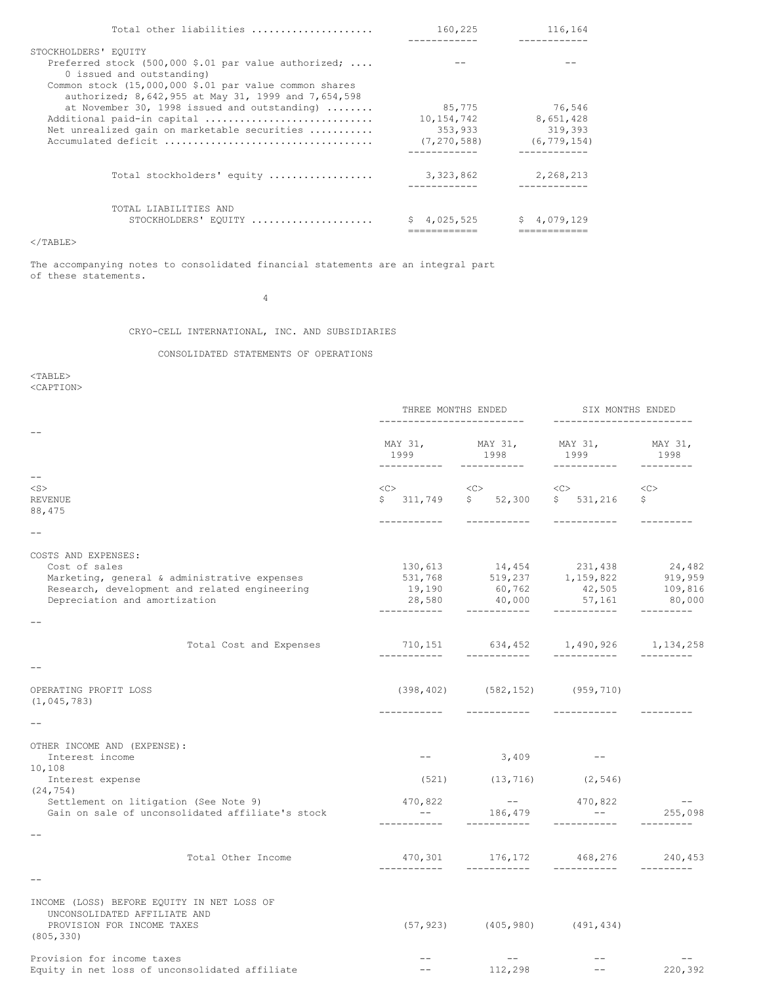| Total other liabilities                                                                                       | 160,225       | 116,164         |
|---------------------------------------------------------------------------------------------------------------|---------------|-----------------|
|                                                                                                               |               | . <u>.</u>      |
| STOCKHOLDERS' EOUITY                                                                                          |               |                 |
| Preferred stock (500,000 \$.01 par value authorized;<br>0 issued and outstanding)                             |               |                 |
| Common stock (15,000,000 \$.01 par value common shares<br>authorized; 8,642,955 at May 31, 1999 and 7,654,598 |               |                 |
| at November 30, 1998 issued and outstanding) $\dots\dots$                                                     | 85,775        | 76.546          |
| Additional paid-in capital                                                                                    | 10, 154, 742  | 8,651,428       |
| Net unrealized gain on marketable securities                                                                  | 353,933       | 319,393         |
|                                                                                                               | (7, 270, 588) | (6, 779, 154)   |
|                                                                                                               |               |                 |
| Total stockholders' equity                                                                                    | 3, 323, 862   | 2,268,213       |
| TOTAL LIABILITIES AND<br>STOCKHOLDERS' EQUITY                                                                 | 4,025,525     | 4,079,129<br>S. |
|                                                                                                               |               |                 |

# $<$ /TABLE>

The accompanying notes to consolidated financial statements are an integral part of these statements.

4

CRYO-CELL INTERNATIONAL, INC. AND SUBSIDIARIES

# CONSOLIDATED STATEMENTS OF OPERATIONS

<TABLE>

<CAPTION>

|                                                            | THREE MONTHS ENDED                                                                          |                                                                             | SIX MONTHS ENDED                                                                                                  |                 |  |
|------------------------------------------------------------|---------------------------------------------------------------------------------------------|-----------------------------------------------------------------------------|-------------------------------------------------------------------------------------------------------------------|-----------------|--|
|                                                            | 1999                                                                                        | MAY 31, MAY 31,<br>1998                                                     | MAY 31,<br>1999                                                                                                   | MAY 31,<br>1998 |  |
| $- -$<br>$<$ S $>$                                         |                                                                                             |                                                                             |                                                                                                                   |                 |  |
| <b>REVENUE</b>                                             |                                                                                             | $\langle C \rangle$ $\langle C \rangle$<br>$$311,749$ $$52,300$ $$531,216$  | $\langle C \rangle$                                                                                               | <<<br>\$        |  |
| 88,475                                                     |                                                                                             |                                                                             |                                                                                                                   |                 |  |
|                                                            |                                                                                             | -----------                                                                 |                                                                                                                   |                 |  |
|                                                            |                                                                                             |                                                                             |                                                                                                                   |                 |  |
| COSTS AND EXPENSES:                                        |                                                                                             |                                                                             |                                                                                                                   |                 |  |
| Cost of sales                                              |                                                                                             | 130,613 14,454 231,438 24,482<br>531,768 519,237 1,159,822 919,959          |                                                                                                                   |                 |  |
| Marketing, general & administrative expenses               |                                                                                             |                                                                             |                                                                                                                   |                 |  |
| Research, development and related engineering              | 19,190                                                                                      | $19,190$ $60,762$ $42,505$ $109,816$<br>$28,580$ $40,000$ $57,161$ $80,000$ |                                                                                                                   |                 |  |
| Depreciation and amortization                              | ------------                                                                                | ___________                                                                 | ------------                                                                                                      | ----------      |  |
|                                                            |                                                                                             |                                                                             |                                                                                                                   |                 |  |
| Total Cost and Expenses                                    | ___________                                                                                 | 710,151 634,452 1,490,926 1,134,258<br>___________                          | ___________                                                                                                       |                 |  |
|                                                            |                                                                                             |                                                                             |                                                                                                                   |                 |  |
| OPERATING PROFIT LOSS                                      |                                                                                             | $(398, 402)$ $(582, 152)$ $(959, 710)$                                      |                                                                                                                   |                 |  |
| (1, 045, 783)                                              |                                                                                             |                                                                             |                                                                                                                   |                 |  |
|                                                            |                                                                                             | ------------                                                                |                                                                                                                   |                 |  |
| OTHER INCOME AND (EXPENSE):                                |                                                                                             |                                                                             |                                                                                                                   |                 |  |
| Interest income                                            | $\qquad \qquad - \qquad -$                                                                  | $3,409$ --                                                                  |                                                                                                                   |                 |  |
| 10,108                                                     |                                                                                             |                                                                             |                                                                                                                   |                 |  |
| Interest expense<br>(24, 754)                              |                                                                                             | $(521)$ $(13, 716)$ $(2, 546)$                                              |                                                                                                                   |                 |  |
| Settlement on litigation (See Note 9)                      | 470,822                                                                                     |                                                                             | 470,822                                                                                                           | $- -$           |  |
| Gain on sale of unconsolidated affiliate's stock           | $\mathcal{L}^{\mathcal{L}}$ and $\mathcal{L}^{\mathcal{L}}$ and $\mathcal{L}^{\mathcal{L}}$ | $-$<br>186,479                                                              | $\mathcal{L}^{\mathcal{L}}(\mathcal{L}^{\mathcal{L}})$ and $\mathcal{L}^{\mathcal{L}}(\mathcal{L}^{\mathcal{L}})$ | 255,098         |  |
|                                                            |                                                                                             | ___________                                                                 |                                                                                                                   |                 |  |
| Total Other Income                                         |                                                                                             | $470,301$ $176,172$ $468,276$ $240,453$                                     |                                                                                                                   |                 |  |
|                                                            | ___________                                                                                 |                                                                             |                                                                                                                   |                 |  |
| INCOME (LOSS) BEFORE EQUITY IN NET LOSS OF                 |                                                                                             |                                                                             |                                                                                                                   |                 |  |
| UNCONSOLIDATED AFFILIATE AND<br>PROVISION FOR INCOME TAXES |                                                                                             | $(57, 923)$ $(405, 980)$ $(491, 434)$                                       |                                                                                                                   |                 |  |
| (805, 330)                                                 |                                                                                             |                                                                             |                                                                                                                   |                 |  |
| Provision for income taxes                                 |                                                                                             | $---$                                                                       |                                                                                                                   |                 |  |
| Equity in net loss of unconsolidated affiliate             | $- -$                                                                                       | 112,298                                                                     | $- -$                                                                                                             | 220,392         |  |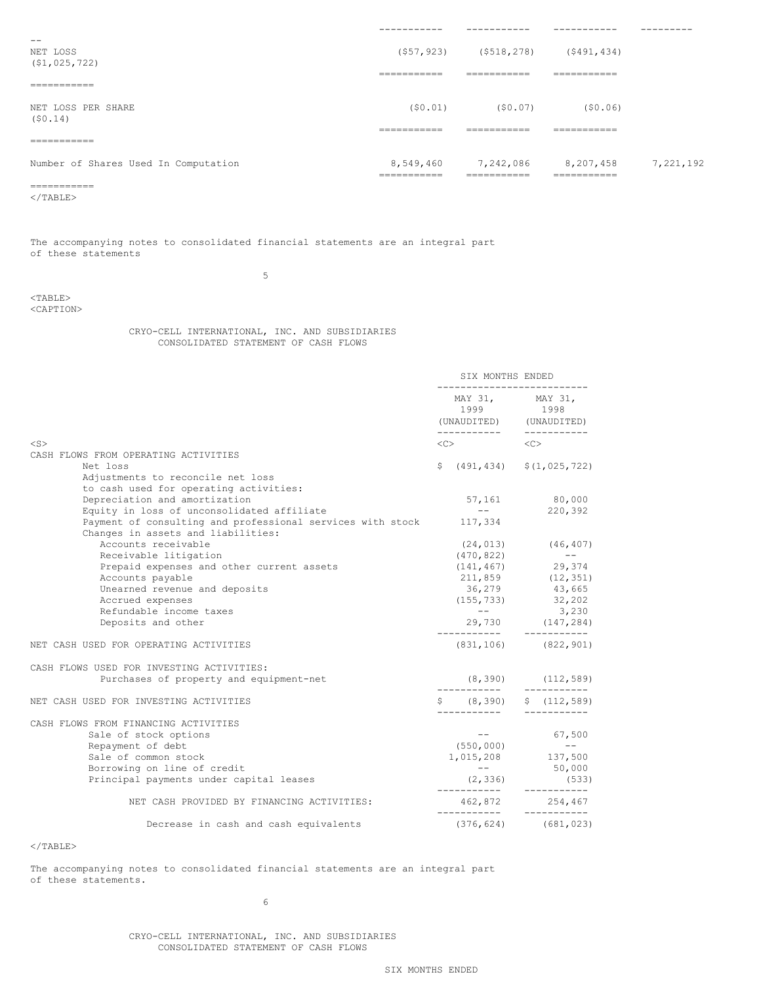|                                      | -----------                | -----------                              | __________                                                             | --------- |
|--------------------------------------|----------------------------|------------------------------------------|------------------------------------------------------------------------|-----------|
| --<br>NET LOSS<br>(51, 025, 722)     |                            | $(557, 923)$ $(5518, 278)$ $(5491, 434)$ |                                                                        |           |
| ------------<br>____________         | ___________<br>----------  | ___________<br>----------                | ___________<br>----------                                              |           |
| NET LOSS PER SHARE<br>(S0.14)        |                            | $(50.01)$ $(50.07)$                      | (50.06)                                                                |           |
| ___________<br>___________           | ___________<br>________    | ___________<br>________                  | ___________<br>---------                                               |           |
| Number of Shares Used In Computation | ___________<br>___________ | ___________<br>____________              | 8,549,460 7,242,086 8,207,458 7,221,192<br>___________<br>____________ |           |
| ___________<br>________              |                            |                                          |                                                                        |           |

 $<$ /TABLE $>$ 

The accompanying notes to consolidated financial statements are an integral part of these statements

5

<TABLE> <CAPTION>

> CRYO-CELL INTERNATIONAL, INC. AND SUBSIDIARIES CONSOLIDATED STATEMENT OF CASH FLOWS

|                                                                    | SIX MONTHS ENDED<br>--------------------------                             |  |                         |
|--------------------------------------------------------------------|----------------------------------------------------------------------------|--|-------------------------|
|                                                                    | MAY 31, MAY 31,<br>1999 1998<br>(UNAUDITED) (UNAUDITED)                    |  |                         |
| $<$ S $>$                                                          | -----------            --------<br>$\langle C \rangle$ $\langle C \rangle$ |  |                         |
| CASH FLOWS FROM OPERATING ACTIVITIES                               |                                                                            |  |                         |
| Net loss                                                           | $$(491, 434)$ $$(1, 025, 722)$                                             |  |                         |
| Adjustments to reconcile net loss                                  |                                                                            |  |                         |
| to cash used for operating activities:                             |                                                                            |  |                         |
| Depreciation and amortization                                      |                                                                            |  | 57,161 80,000           |
| Equity in loss of unconsolidated affiliate                         | $\sim$ $ -$                                                                |  | 220,392                 |
| Payment of consulting and professional services with stock 117,334 |                                                                            |  |                         |
| Changes in assets and liabilities:                                 |                                                                            |  |                         |
| Accounts receivable                                                |                                                                            |  | $(24, 013)$ $(46, 407)$ |
| Receivable litigation                                              | $(470, 822)$ --                                                            |  |                         |
| Prepaid expenses and other current assets                          | $(141, 467)$ 29,374                                                        |  |                         |
| Accounts payable                                                   | 211,859 (12,351)<br>36,279 43,665                                          |  |                         |
| Unearned revenue and deposits                                      |                                                                            |  |                         |
| Accrued expenses                                                   | $(155, 733)$ 32,202                                                        |  |                         |
| Refundable income taxes                                            | $\alpha = 0.00000$ and $\alpha = 0.0000$                                   |  | 3,230                   |
| Deposits and other                                                 | 29,730 (147,284)                                                           |  |                         |
| NET CASH USED FOR OPERATING ACTIVITIES                             | $(831, 106)$ $(822, 901)$                                                  |  |                         |
| CASH FLOWS USED FOR INVESTING ACTIVITIES:                          |                                                                            |  |                         |
| Purchases of property and equipment-net                            | $(8, 390)$ $(112, 589)$                                                    |  |                         |
| NET CASH USED FOR INVESTING ACTIVITIES                             | $\frac{1}{2}$ (8,390) $\frac{1}{2}$ (112,589)<br>------------              |  |                         |
| CASH FLOWS FROM FINANCING ACTIVITIES                               |                                                                            |  |                         |
| Sale of stock options                                              |                                                                            |  | $-- 67,500$             |
| Repayment of debt                                                  |                                                                            |  |                         |
| Sale of common stock                                               | $(550,000)$ --<br>1,015,208 137,500                                        |  |                         |
| Borrowing on line of credit                                        | $\sim$ $  -$                                                               |  | 50,000                  |
| Principal payments under capital leases                            | $(2, 336)$ (533)                                                           |  |                         |
| NET CASH PROVIDED BY FINANCING ACTIVITIES:                         | 462,872 254,467<br>___________                                             |  | -----------             |
| Decrease in cash and cash equivalents                              | $(376, 624)$ $(681, 023)$                                                  |  |                         |

 $<$ /TABLE>

The accompanying notes to consolidated financial statements are an integral part of these statements.

6

CRYO-CELL INTERNATIONAL, INC. AND SUBSIDIARIES CONSOLIDATED STATEMENT OF CASH FLOWS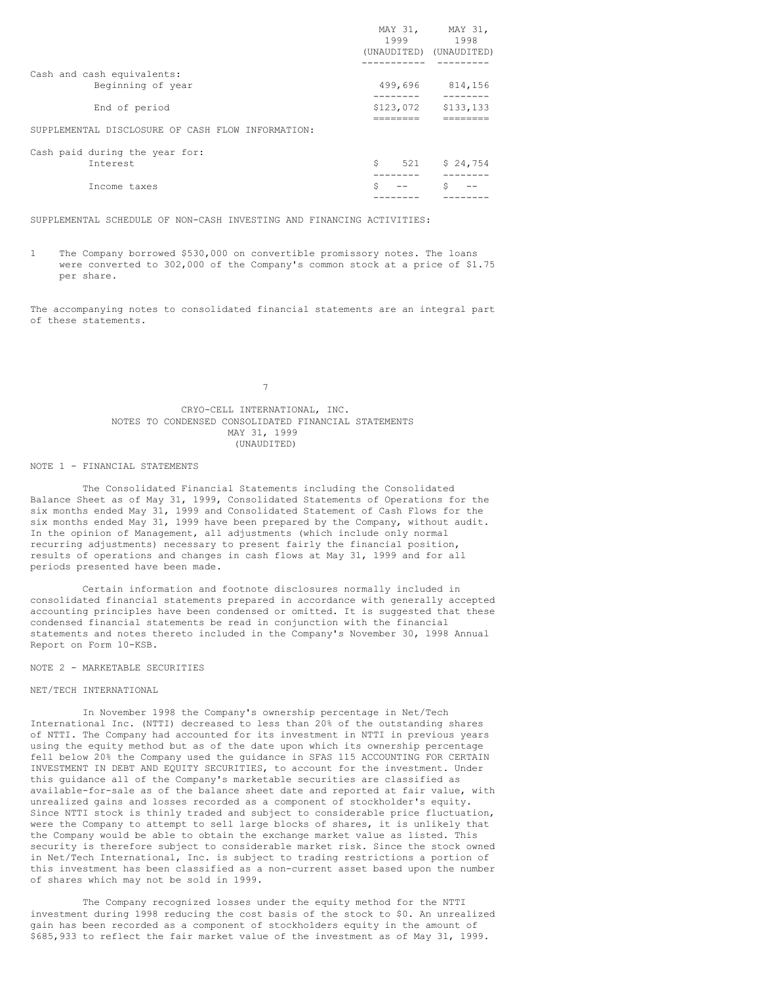|                                                   |           | MAY 31, MAY 31,         |
|---------------------------------------------------|-----------|-------------------------|
|                                                   | 1999      | 1998                    |
|                                                   |           | (UNAUDITED) (UNAUDITED) |
| Cash and cash equivalents:                        |           |                         |
| Beginning of year                                 | 499,696   | 814,156<br>-------      |
| End of period                                     | \$123,072 | \$133,133               |
| SUPPLEMENTAL DISCLOSURE OF CASH FLOW INFORMATION: |           |                         |
| Cash paid during the year for:                    |           |                         |
| Interest                                          | \$<br>521 | \$24,754                |
| Income taxes                                      | \$        | Ś                       |
|                                                   |           |                         |

SUPPLEMENTAL SCHEDULE OF NON-CASH INVESTING AND FINANCING ACTIVITIES:

1 The Company borrowed \$530,000 on convertible promissory notes. The loans were converted to 302,000 of the Company's common stock at a price of \$1.75 per share.

The accompanying notes to consolidated financial statements are an integral part of these statements.

7

# CRYO-CELL INTERNATIONAL, INC. NOTES TO CONDENSED CONSOLIDATED FINANCIAL STATEMENTS MAY 31, 1999 (UNAUDITED)

## NOTE 1 - FINANCIAL STATEMENTS

The Consolidated Financial Statements including the Consolidated Balance Sheet as of May 31, 1999, Consolidated Statements of Operations for the six months ended May 31, 1999 and Consolidated Statement of Cash Flows for the six months ended May 31, 1999 have been prepared by the Company, without audit. In the opinion of Management, all adjustments (which include only normal recurring adjustments) necessary to present fairly the financial position, results of operations and changes in cash flows at May 31, 1999 and for all periods presented have been made.

Certain information and footnote disclosures normally included in consolidated financial statements prepared in accordance with generally accepted accounting principles have been condensed or omitted. It is suggested that these condensed financial statements be read in conjunction with the financial statements and notes thereto included in the Company's November 30, 1998 Annual Report on Form 10-KSB.

# NOTE 2 - MARKETABLE SECURITIES

# NET/TECH INTERNATIONAL

In November 1998 the Company's ownership percentage in Net/Tech International Inc. (NTTI) decreased to less than 20% of the outstanding shares of NTTI. The Company had accounted for its investment in NTTI in previous years using the equity method but as of the date upon which its ownership percentage fell below 20% the Company used the guidance in SFAS 115 ACCOUNTING FOR CERTAIN INVESTMENT IN DEBT AND EQUITY SECURITIES, to account for the investment. Under this guidance all of the Company's marketable securities are classified as available-for-sale as of the balance sheet date and reported at fair value, with unrealized gains and losses recorded as a component of stockholder's equity. Since NTTI stock is thinly traded and subject to considerable price fluctuation, were the Company to attempt to sell large blocks of shares, it is unlikely that the Company would be able to obtain the exchange market value as listed. This security is therefore subject to considerable market risk. Since the stock owned in Net/Tech International, Inc. is subject to trading restrictions a portion of this investment has been classified as a non-current asset based upon the number of shares which may not be sold in 1999.

The Company recognized losses under the equity method for the NTTI investment during 1998 reducing the cost basis of the stock to \$0. An unrealized gain has been recorded as a component of stockholders equity in the amount of \$685,933 to reflect the fair market value of the investment as of May 31, 1999.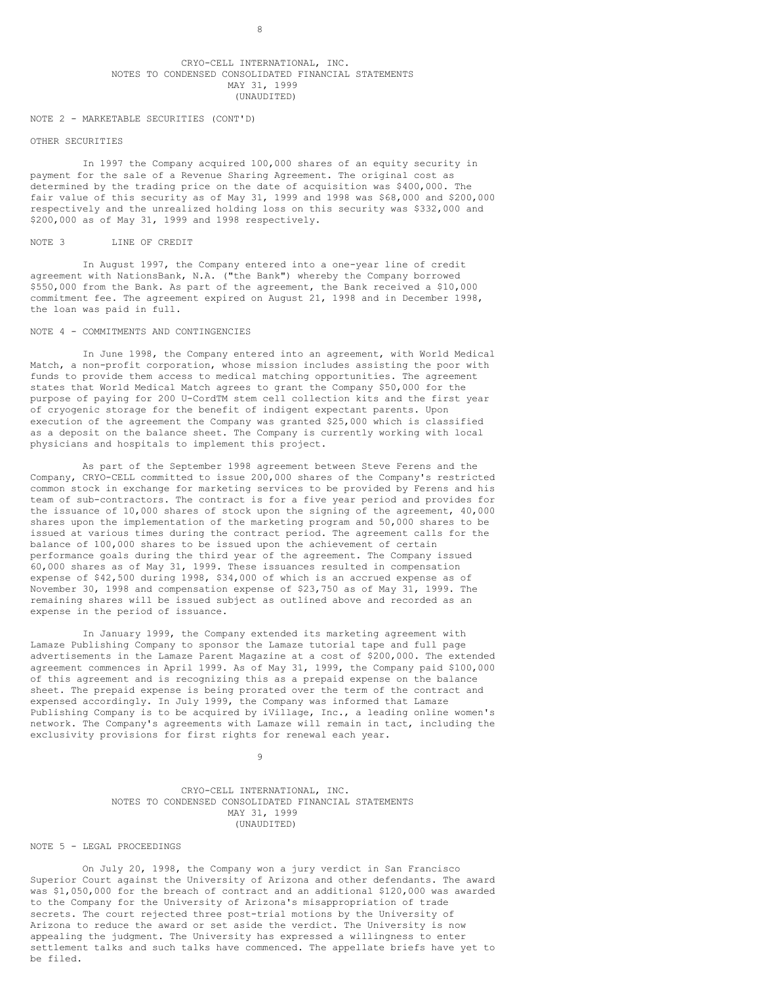## CRYO-CELL INTERNATIONAL, INC. NOTES TO CONDENSED CONSOLIDATED FINANCIAL STATEMENTS MAY 31, 1999 (UNAUDITED)

## NOTE 2 - MARKETABLE SECURITIES (CONT'D)

## OTHER SECURITIES

In 1997 the Company acquired 100,000 shares of an equity security in payment for the sale of a Revenue Sharing Agreement. The original cost as determined by the trading price on the date of acquisition was \$400,000. The fair value of this security as of May 31, 1999 and 1998 was \$68,000 and \$200,000 respectively and the unrealized holding loss on this security was \$332,000 and \$200,000 as of May 31, 1999 and 1998 respectively.

#### NOTE 3 LINE OF CREDIT

In August 1997, the Company entered into a one-year line of credit agreement with NationsBank, N.A. ("the Bank") whereby the Company borrowed \$550,000 from the Bank. As part of the agreement, the Bank received a \$10,000 commitment fee. The agreement expired on August 21, 1998 and in December 1998, the loan was paid in full.

# NOTE 4 - COMMITMENTS AND CONTINGENCIES

In June 1998, the Company entered into an agreement, with World Medical Match, a non-profit corporation, whose mission includes assisting the poor with funds to provide them access to medical matching opportunities. The agreement states that World Medical Match agrees to grant the Company \$50,000 for the purpose of paying for 200 U-CordTM stem cell collection kits and the first year of cryogenic storage for the benefit of indigent expectant parents. Upon execution of the agreement the Company was granted \$25,000 which is classified as a deposit on the balance sheet. The Company is currently working with local physicians and hospitals to implement this project.

As part of the September 1998 agreement between Steve Ferens and the Company, CRYO-CELL committed to issue 200,000 shares of the Company's restricted common stock in exchange for marketing services to be provided by Ferens and his team of sub-contractors. The contract is for a five year period and provides for the issuance of 10,000 shares of stock upon the signing of the agreement, 40,000 shares upon the implementation of the marketing program and 50,000 shares to be issued at various times during the contract period. The agreement calls for the balance of 100,000 shares to be issued upon the achievement of certain performance goals during the third year of the agreement. The Company issued 60,000 shares as of May 31, 1999. These issuances resulted in compensation expense of \$42,500 during 1998, \$34,000 of which is an accrued expense as of November 30, 1998 and compensation expense of \$23,750 as of May 31, 1999. The remaining shares will be issued subject as outlined above and recorded as an expense in the period of issuance.

In January 1999, the Company extended its marketing agreement with Lamaze Publishing Company to sponsor the Lamaze tutorial tape and full page advertisements in the Lamaze Parent Magazine at a cost of \$200,000. The extended agreement commences in April 1999. As of May 31, 1999, the Company paid \$100,000 of this agreement and is recognizing this as a prepaid expense on the balance sheet. The prepaid expense is being prorated over the term of the contract and expensed accordingly. In July 1999, the Company was informed that Lamaze Publishing Company is to be acquired by iVillage, Inc., a leading online women's network. The Company's agreements with Lamaze will remain in tact, including the exclusivity provisions for first rights for renewal each year.

 $\ddot{9}$ 

CRYO-CELL INTERNATIONAL, INC. NOTES TO CONDENSED CONSOLIDATED FINANCIAL STATEMENTS MAY 31, 1999 (UNAUDITED)

## NOTE 5 - LEGAL PROCEEDINGS

On July 20, 1998, the Company won a jury verdict in San Francisco Superior Court against the University of Arizona and other defendants. The award was \$1,050,000 for the breach of contract and an additional \$120,000 was awarded to the Company for the University of Arizona's misappropriation of trade secrets. The court rejected three post-trial motions by the University of Arizona to reduce the award or set aside the verdict. The University is now appealing the judgment. The University has expressed a willingness to enter settlement talks and such talks have commenced. The appellate briefs have yet to be filed.

8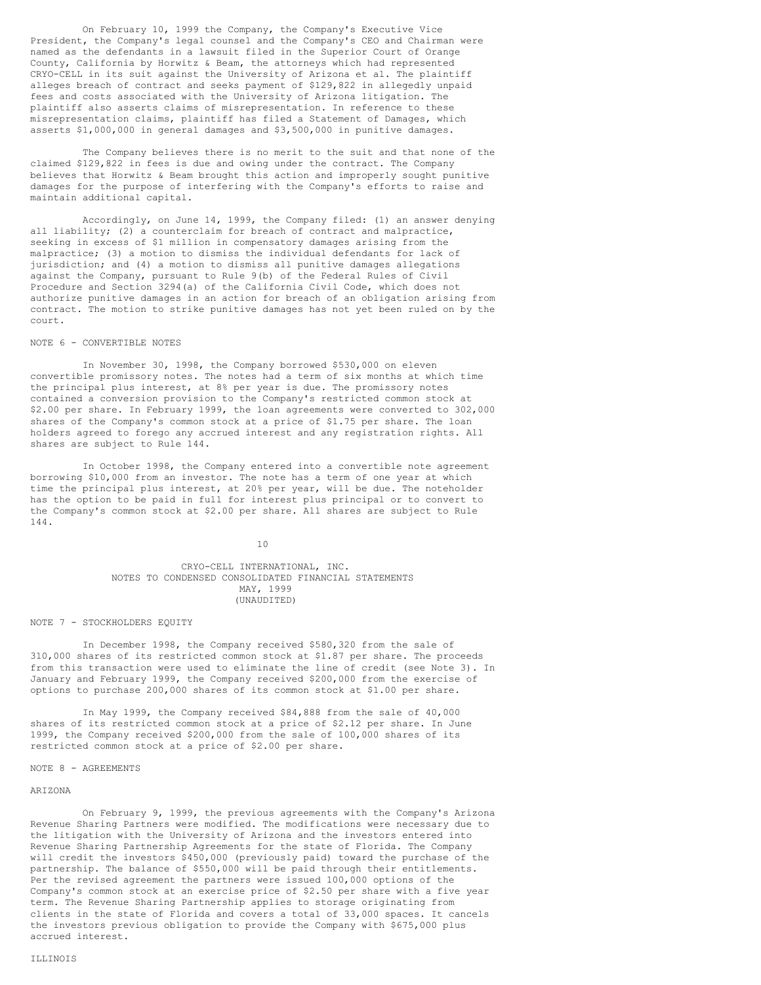On February 10, 1999 the Company, the Company's Executive Vice President, the Company's legal counsel and the Company's CEO and Chairman were named as the defendants in a lawsuit filed in the Superior Court of Orange County, California by Horwitz & Beam, the attorneys which had represented CRYO-CELL in its suit against the University of Arizona et al. The plaintiff alleges breach of contract and seeks payment of \$129,822 in allegedly unpaid fees and costs associated with the University of Arizona litigation. The plaintiff also asserts claims of misrepresentation. In reference to these misrepresentation claims, plaintiff has filed a Statement of Damages, which asserts \$1,000,000 in general damages and \$3,500,000 in punitive damages.

The Company believes there is no merit to the suit and that none of the claimed \$129,822 in fees is due and owing under the contract. The Company believes that Horwitz & Beam brought this action and improperly sought punitive damages for the purpose of interfering with the Company's efforts to raise and maintain additional capital.

Accordingly, on June 14, 1999, the Company filed: (1) an answer denying all liability; (2) a counterclaim for breach of contract and malpractice, seeking in excess of \$1 million in compensatory damages arising from the malpractice; (3) a motion to dismiss the individual defendants for lack of jurisdiction; and (4) a motion to dismiss all punitive damages allegations against the Company, pursuant to Rule 9(b) of the Federal Rules of Civil Procedure and Section 3294(a) of the California Civil Code, which does not authorize punitive damages in an action for breach of an obligation arising from contract. The motion to strike punitive damages has not yet been ruled on by the court.

# NOTE 6 - CONVERTIBLE NOTES

In November 30, 1998, the Company borrowed \$530,000 on eleven convertible promissory notes. The notes had a term of six months at which time the principal plus interest, at 8% per year is due. The promissory notes contained a conversion provision to the Company's restricted common stock at \$2.00 per share. In February 1999, the loan agreements were converted to 302,000 shares of the Company's common stock at a price of \$1.75 per share. The loan holders agreed to forego any accrued interest and any registration rights. All shares are subject to Rule 144.

In October 1998, the Company entered into a convertible note agreement borrowing \$10,000 from an investor. The note has a term of one year at which time the principal plus interest, at 20% per year, will be due. The noteholder has the option to be paid in full for interest plus principal or to convert to the Company's common stock at \$2.00 per share. All shares are subject to Rule 144.

10

# CRYO-CELL INTERNATIONAL, INC. NOTES TO CONDENSED CONSOLIDATED FINANCIAL STATEMENTS MAY, 1999 (UNAUDITED)

#### NOTE 7 - STOCKHOLDERS EQUITY

In December 1998, the Company received \$580,320 from the sale of 310,000 shares of its restricted common stock at \$1.87 per share. The proceeds from this transaction were used to eliminate the line of credit (see Note 3). In January and February 1999, the Company received \$200,000 from the exercise of options to purchase 200,000 shares of its common stock at \$1.00 per share.

In May 1999, the Company received \$84,888 from the sale of 40,000 shares of its restricted common stock at a price of \$2.12 per share. In June 1999, the Company received \$200,000 from the sale of 100,000 shares of its restricted common stock at a price of \$2.00 per share.

#### NOTE 8 - AGREEMENTS

#### ARIZONA

On February 9, 1999, the previous agreements with the Company's Arizona Revenue Sharing Partners were modified. The modifications were necessary due to the litigation with the University of Arizona and the investors entered into Revenue Sharing Partnership Agreements for the state of Florida. The Company will credit the investors \$450,000 (previously paid) toward the purchase of the partnership. The balance of \$550,000 will be paid through their entitlements. Per the revised agreement the partners were issued 100,000 options of the Company's common stock at an exercise price of \$2.50 per share with a five year term. The Revenue Sharing Partnership applies to storage originating from clients in the state of Florida and covers a total of 33,000 spaces. It cancels the investors previous obligation to provide the Company with \$675,000 plus accrued interest.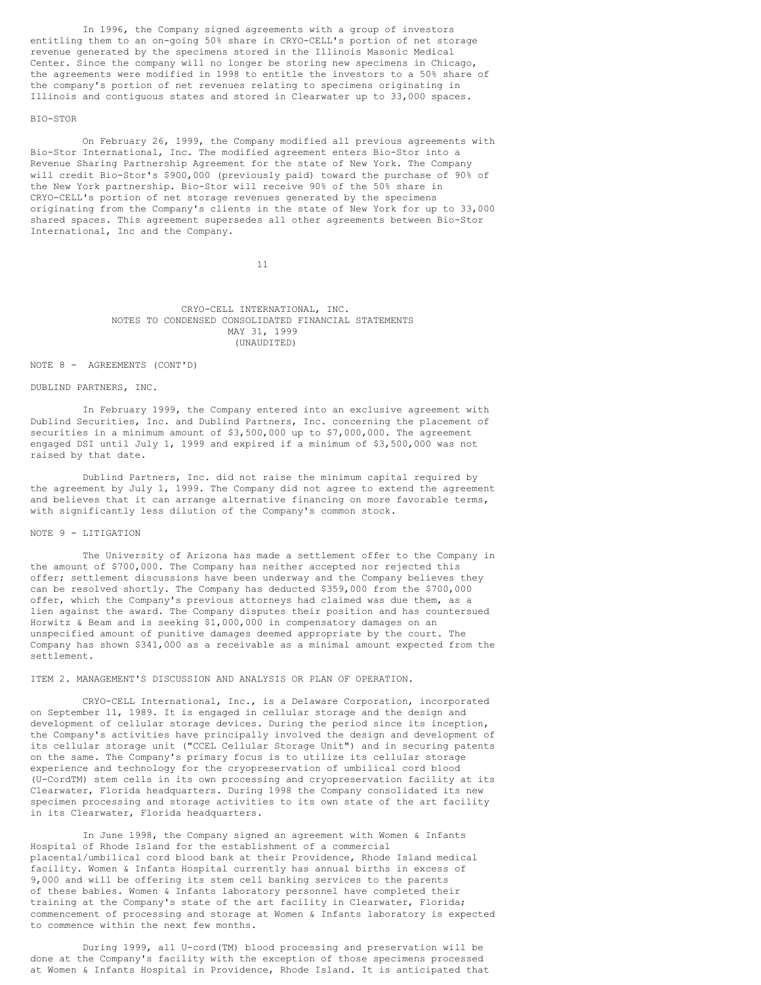In 1996, the Company signed agreements with a group of investors entitling them to an on-going 50% share in CRYO-CELL's portion of net storage revenue generated by the specimens stored in the Illinois Masonic Medical Center. Since the company will no longer be storing new specimens in Chicago, the agreements were modified in 1998 to entitle the investors to a 50% share of the company's portion of net revenues relating to specimens originating in Illinois and contiguous states and stored in Clearwater up to 33,000 spaces.

## BIO-STOR

On February 26, 1999, the Company modified all previous agreements with Bio-Stor International, Inc. The modified agreement enters Bio-Stor into a Revenue Sharing Partnership Agreement for the state of New York. The Company will credit Bio-Stor's \$900,000 (previously paid) toward the purchase of 90% of the New York partnership. Bio-Stor will receive 90% of the 50% share in CRYO-CELL's portion of net storage revenues generated by the specimens originating from the Company's clients in the state of New York for up to 33,000 shared spaces. This agreement supersedes all other agreements between Bio-Stor International, Inc and the Company.

11

## CRYO-CELL INTERNATIONAL, INC. NOTES TO CONDENSED CONSOLIDATED FINANCIAL STATEMENTS MAY 31, 1999 (UNAUDITED)

## NOTE 8 - AGREEMENTS (CONT'D)

# DUBLIND PARTNERS, INC.

In February 1999, the Company entered into an exclusive agreement with Dublind Securities, Inc. and Dublind Partners, Inc. concerning the placement of securities in a minimum amount of \$3,500,000 up to \$7,000,000. The agreement engaged DSI until July 1, 1999 and expired if a minimum of \$3,500,000 was not raised by that date.

Dublind Partners, Inc. did not raise the minimum capital required by the agreement by July 1, 1999. The Company did not agree to extend the agreement and believes that it can arrange alternative financing on more favorable terms, with significantly less dilution of the Company's common stock.

## NOTE 9 - LITIGATION

The University of Arizona has made a settlement offer to the Company in the amount of \$700,000. The Company has neither accepted nor rejected this offer; settlement discussions have been underway and the Company believes they can be resolved shortly. The Company has deducted \$359,000 from the \$700,000 offer, which the Company's previous attorneys had claimed was due them, as a lien against the award. The Company disputes their position and has countersued Horwitz & Beam and is seeking \$1,000,000 in compensatory damages on an unspecified amount of punitive damages deemed appropriate by the court. The Company has shown \$341,000 as a receivable as a minimal amount expected from the settlement.

## ITEM 2. MANAGEMENT'S DISCUSSION AND ANALYSIS OR PLAN OF OPERATION.

CRYO-CELL International, Inc., is a Delaware Corporation, incorporated on September 11, 1989. It is engaged in cellular storage and the design and development of cellular storage devices. During the period since its inception, the Company's activities have principally involved the design and development of its cellular storage unit ("CCEL Cellular Storage Unit") and in securing patents on the same. The Company's primary focus is to utilize its cellular storage experience and technology for the cryopreservation of umbilical cord blood (U-CordTM) stem cells in its own processing and cryopreservation facility at its Clearwater, Florida headquarters. During 1998 the Company consolidated its new specimen processing and storage activities to its own state of the art facility in its Clearwater, Florida headquarters.

In June 1998, the Company signed an agreement with Women & Infants Hospital of Rhode Island for the establishment of a commercial placental/umbilical cord blood bank at their Providence, Rhode Island medical facility. Women & Infants Hospital currently has annual births in excess of 9,000 and will be offering its stem cell banking services to the parents of these babies. Women & Infants laboratory personnel have completed their training at the Company's state of the art facility in Clearwater, Florida; commencement of processing and storage at Women & Infants laboratory is expected to commence within the next few months.

During 1999, all U-cord(TM) blood processing and preservation will be done at the Company's facility with the exception of those specimens processed at Women & Infants Hospital in Providence, Rhode Island. It is anticipated that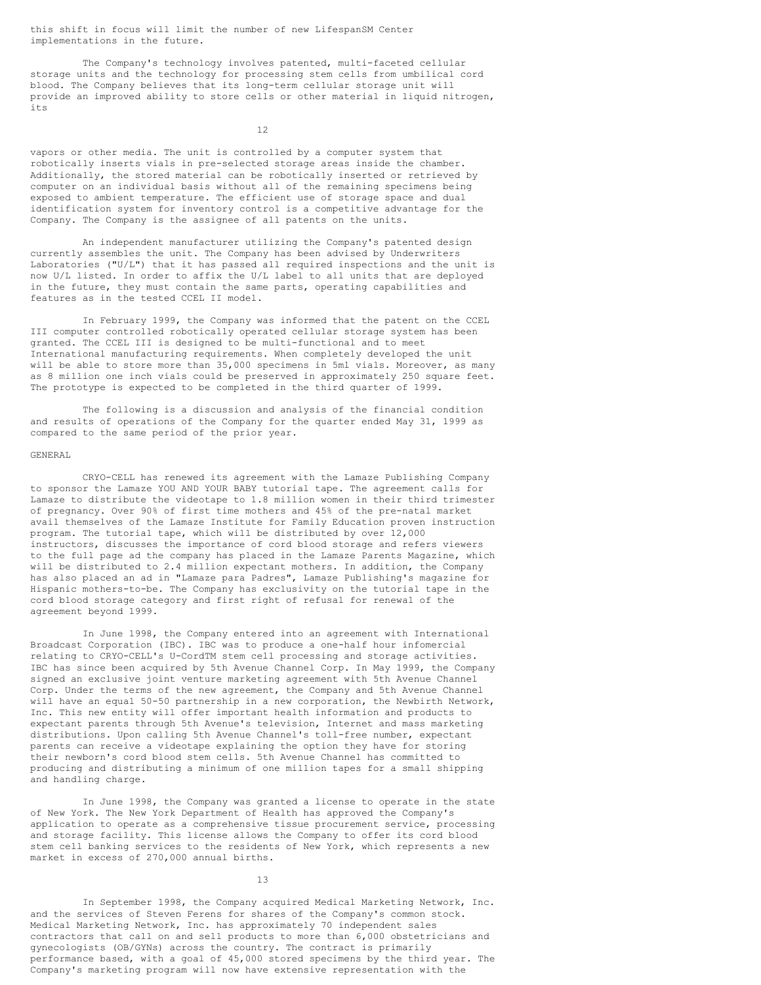this shift in focus will limit the number of new LifespanSM Center implementations in the future.

The Company's technology involves patented, multi-faceted cellular storage units and the technology for processing stem cells from umbilical cord blood. The Company believes that its long-term cellular storage unit will provide an improved ability to store cells or other material in liquid nitrogen, its

12

vapors or other media. The unit is controlled by a computer system that robotically inserts vials in pre-selected storage areas inside the chamber. Additionally, the stored material can be robotically inserted or retrieved by computer on an individual basis without all of the remaining specimens being exposed to ambient temperature. The efficient use of storage space and dual identification system for inventory control is a competitive advantage for the Company. The Company is the assignee of all patents on the units.

An independent manufacturer utilizing the Company's patented design currently assembles the unit. The Company has been advised by Underwriters Laboratories ("U/L") that it has passed all required inspections and the unit is now U/L listed. In order to affix the U/L label to all units that are deployed in the future, they must contain the same parts, operating capabilities and features as in the tested CCEL II model.

In February 1999, the Company was informed that the patent on the CCEL III computer controlled robotically operated cellular storage system has been granted. The CCEL III is designed to be multi-functional and to meet International manufacturing requirements. When completely developed the unit will be able to store more than 35,000 specimens in 5ml vials. Moreover, as many as 8 million one inch vials could be preserved in approximately 250 square feet. The prototype is expected to be completed in the third quarter of 1999.

The following is a discussion and analysis of the financial condition and results of operations of the Company for the quarter ended May 31, 1999 as compared to the same period of the prior year.

#### GENERAL

CRYO-CELL has renewed its agreement with the Lamaze Publishing Company to sponsor the Lamaze YOU AND YOUR BABY tutorial tape. The agreement calls for Lamaze to distribute the videotape to 1.8 million women in their third trimester of pregnancy. Over 90% of first time mothers and 45% of the pre-natal market avail themselves of the Lamaze Institute for Family Education proven instruction program. The tutorial tape, which will be distributed by over 12,000 instructors, discusses the importance of cord blood storage and refers viewers to the full page ad the company has placed in the Lamaze Parents Magazine, which will be distributed to 2.4 million expectant mothers. In addition, the Company has also placed an ad in "Lamaze para Padres", Lamaze Publishing's magazine for Hispanic mothers-to-be. The Company has exclusivity on the tutorial tape in the cord blood storage category and first right of refusal for renewal of the agreement beyond 1999.

In June 1998, the Company entered into an agreement with International Broadcast Corporation (IBC). IBC was to produce a one-half hour infomercial relating to CRYO-CELL's U-CordTM stem cell processing and storage activities. IBC has since been acquired by 5th Avenue Channel Corp. In May 1999, the Company signed an exclusive joint venture marketing agreement with 5th Avenue Channel Corp. Under the terms of the new agreement, the Company and 5th Avenue Channel will have an equal 50-50 partnership in a new corporation, the Newbirth Network, Inc. This new entity will offer important health information and products to expectant parents through 5th Avenue's television, Internet and mass marketing distributions. Upon calling 5th Avenue Channel's toll-free number, expectant parents can receive a videotape explaining the option they have for storing their newborn's cord blood stem cells. 5th Avenue Channel has committed to producing and distributing a minimum of one million tapes for a small shipping and handling charge.

In June 1998, the Company was granted a license to operate in the state of New York. The New York Department of Health has approved the Company's application to operate as a comprehensive tissue procurement service, processing and storage facility. This license allows the Company to offer its cord blood stem cell banking services to the residents of New York, which represents a new market in excess of 270,000 annual births.

13

In September 1998, the Company acquired Medical Marketing Network, Inc. and the services of Steven Ferens for shares of the Company's common stock. Medical Marketing Network, Inc. has approximately 70 independent sales contractors that call on and sell products to more than 6,000 obstetricians and gynecologists (OB/GYNs) across the country. The contract is primarily performance based, with a goal of 45,000 stored specimens by the third year. The Company's marketing program will now have extensive representation with the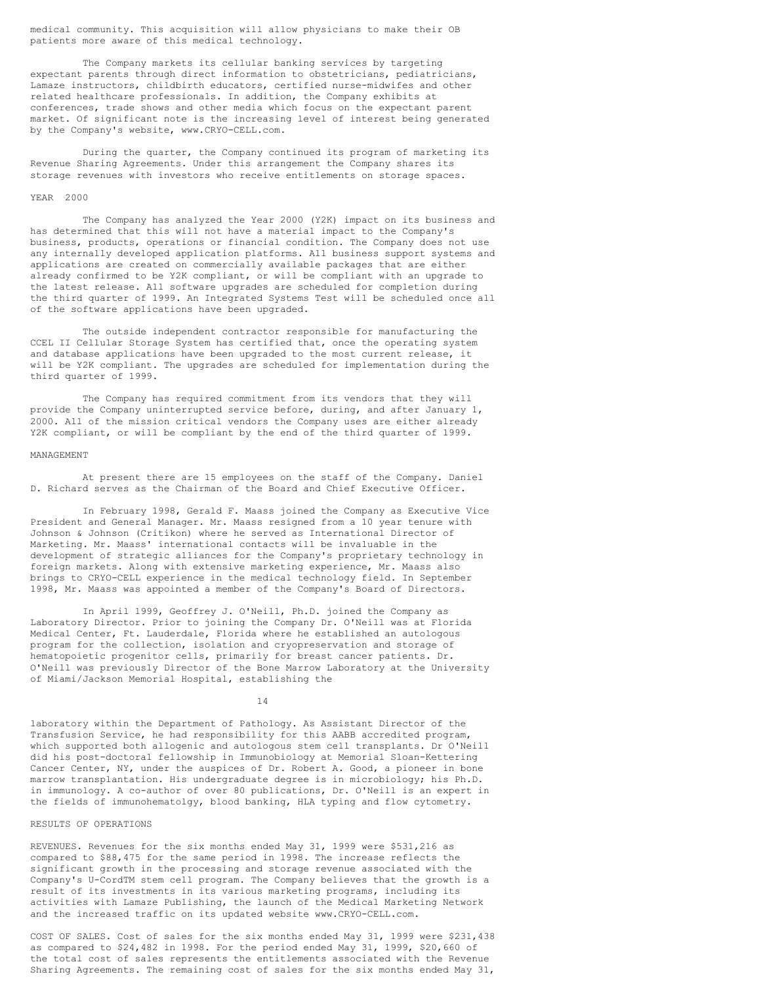medical community. This acquisition will allow physicians to make their OB patients more aware of this medical technology.

The Company markets its cellular banking services by targeting expectant parents through direct information to obstetricians, pediatricians, Lamaze instructors, childbirth educators, certified nurse-midwifes and other related healthcare professionals. In addition, the Company exhibits at conferences, trade shows and other media which focus on the expectant parent market. Of significant note is the increasing level of interest being generated by the Company's website, www.CRYO-CELL.com.

During the quarter, the Company continued its program of marketing its Revenue Sharing Agreements. Under this arrangement the Company shares its storage revenues with investors who receive entitlements on storage spaces.

### YEAR 2000

The Company has analyzed the Year 2000 (Y2K) impact on its business and has determined that this will not have a material impact to the Company's business, products, operations or financial condition. The Company does not use any internally developed application platforms. All business support systems and applications are created on commercially available packages that are either already confirmed to be Y2K compliant, or will be compliant with an upgrade to the latest release. All software upgrades are scheduled for completion during the third quarter of 1999. An Integrated Systems Test will be scheduled once all of the software applications have been upgraded.

The outside independent contractor responsible for manufacturing the CCEL II Cellular Storage System has certified that, once the operating system and database applications have been upgraded to the most current release, it will be Y2K compliant. The upgrades are scheduled for implementation during the third quarter of 1999.

The Company has required commitment from its vendors that they will provide the Company uninterrupted service before, during, and after January 1, 2000. All of the mission critical vendors the Company uses are either already Y2K compliant, or will be compliant by the end of the third quarter of 1999.

## MANAGEMENT

At present there are 15 employees on the staff of the Company. Daniel D. Richard serves as the Chairman of the Board and Chief Executive Officer.

In February 1998, Gerald F. Maass joined the Company as Executive Vice President and General Manager. Mr. Maass resigned from a 10 year tenure with Johnson & Johnson (Critikon) where he served as International Director of Marketing. Mr. Maass' international contacts will be invaluable in the development of strategic alliances for the Company's proprietary technology in foreign markets. Along with extensive marketing experience, Mr. Maass also brings to CRYO-CELL experience in the medical technology field. In September 1998, Mr. Maass was appointed a member of the Company's Board of Directors.

In April 1999, Geoffrey J. O'Neill, Ph.D. joined the Company as Laboratory Director. Prior to joining the Company Dr. O'Neill was at Florida Medical Center, Ft. Lauderdale, Florida where he established an autologous program for the collection, isolation and cryopreservation and storage of hematopoietic progenitor cells, primarily for breast cancer patients. Dr. O'Neill was previously Director of the Bone Marrow Laboratory at the University of Miami/Jackson Memorial Hospital, establishing the

14

laboratory within the Department of Pathology. As Assistant Director of the Transfusion Service, he had responsibility for this AABB accredited program, which supported both allogenic and autologous stem cell transplants. Dr O'Neill did his post-doctoral fellowship in Immunobiology at Memorial Sloan-Kettering Cancer Center, NY, under the auspices of Dr. Robert A. Good, a pioneer in bone marrow transplantation. His undergraduate degree is in microbiology; his Ph.D. in immunology. A co-author of over 80 publications, Dr. O'Neill is an expert in the fields of immunohematolgy, blood banking, HLA typing and flow cytometry.

# RESULTS OF OPERATIONS

REVENUES. Revenues for the six months ended May 31, 1999 were \$531,216 as compared to \$88,475 for the same period in 1998. The increase reflects the significant growth in the processing and storage revenue associated with the Company's U-CordTM stem cell program. The Company believes that the growth is a result of its investments in its various marketing programs, including its activities with Lamaze Publishing, the launch of the Medical Marketing Network and the increased traffic on its updated website www.CRYO-CELL.com.

COST OF SALES. Cost of sales for the six months ended May 31, 1999 were \$231,438 as compared to \$24,482 in 1998. For the period ended May 31, 1999, \$20,660 of the total cost of sales represents the entitlements associated with the Revenue Sharing Agreements. The remaining cost of sales for the six months ended May 31,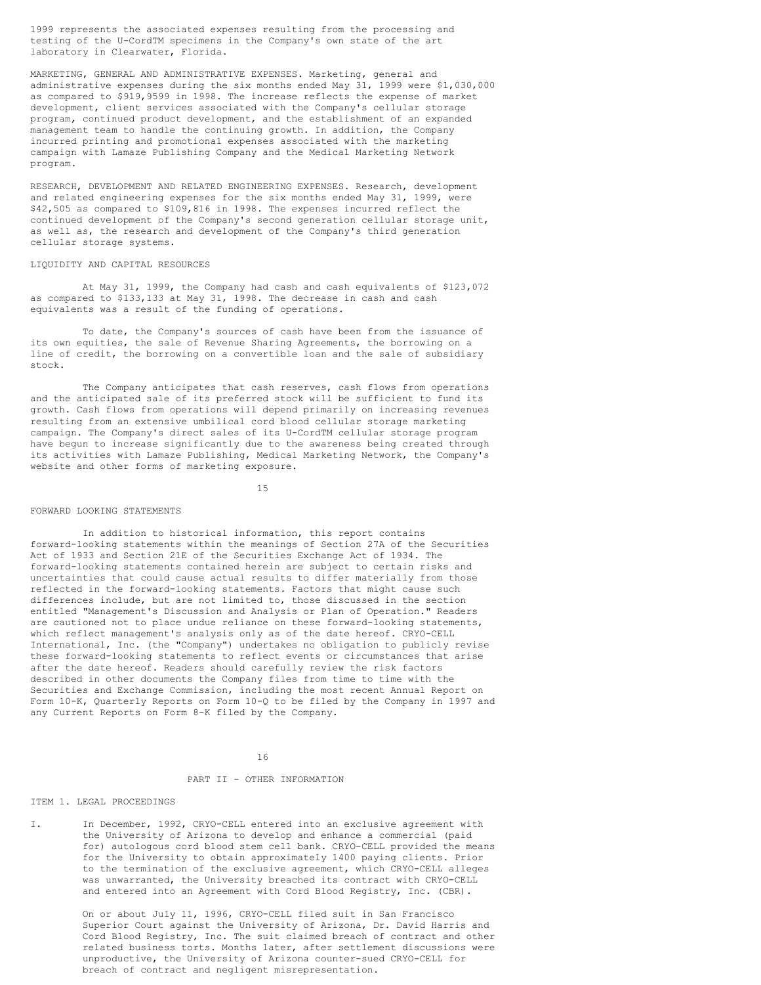1999 represents the associated expenses resulting from the processing and testing of the U-CordTM specimens in the Company's own state of the art laboratory in Clearwater, Florida.

MARKETING, GENERAL AND ADMINISTRATIVE EXPENSES. Marketing, general and administrative expenses during the six months ended May 31, 1999 were \$1,030,000 as compared to \$919,9599 in 1998. The increase reflects the expense of market development, client services associated with the Company's cellular storage program, continued product development, and the establishment of an expanded management team to handle the continuing growth. In addition, the Company incurred printing and promotional expenses associated with the marketing campaign with Lamaze Publishing Company and the Medical Marketing Network program.

RESEARCH, DEVELOPMENT AND RELATED ENGINEERING EXPENSES. Research, development and related engineering expenses for the six months ended May 31, 1999, were \$42,505 as compared to \$109,816 in 1998. The expenses incurred reflect the continued development of the Company's second generation cellular storage unit, as well as, the research and development of the Company's third generation cellular storage systems.

## LIQUIDITY AND CAPITAL RESOURCES

At May 31, 1999, the Company had cash and cash equivalents of \$123,072 as compared to \$133,133 at May 31, 1998. The decrease in cash and cash equivalents was a result of the funding of operations.

To date, the Company's sources of cash have been from the issuance of its own equities, the sale of Revenue Sharing Agreements, the borrowing on a line of credit, the borrowing on a convertible loan and the sale of subsidiary stock.

The Company anticipates that cash reserves, cash flows from operations and the anticipated sale of its preferred stock will be sufficient to fund its growth. Cash flows from operations will depend primarily on increasing revenues resulting from an extensive umbilical cord blood cellular storage marketing campaign. The Company's direct sales of its U-CordTM cellular storage program have begun to increase significantly due to the awareness being created through its activities with Lamaze Publishing, Medical Marketing Network, the Company's website and other forms of marketing exposure.

15

## FORWARD LOOKING STATEMENTS

In addition to historical information, this report contains forward-looking statements within the meanings of Section 27A of the Securities Act of 1933 and Section 21E of the Securities Exchange Act of 1934. The forward-looking statements contained herein are subject to certain risks and uncertainties that could cause actual results to differ materially from those reflected in the forward-looking statements. Factors that might cause such differences include, but are not limited to, those discussed in the section entitled "Management's Discussion and Analysis or Plan of Operation." Readers are cautioned not to place undue reliance on these forward-looking statements, which reflect management's analysis only as of the date hereof. CRYO-CELL International, Inc. (the "Company") undertakes no obligation to publicly revise these forward-looking statements to reflect events or circumstances that arise after the date hereof. Readers should carefully review the risk factors described in other documents the Company files from time to time with the Securities and Exchange Commission, including the most recent Annual Report on Form 10-K, Quarterly Reports on Form 10-Q to be filed by the Company in 1997 and any Current Reports on Form 8-K filed by the Company.

16

# PART II - OTHER INFORMATION

### ITEM 1. LEGAL PROCEEDINGS

I. In December, 1992, CRYO-CELL entered into an exclusive agreement with the University of Arizona to develop and enhance a commercial (paid for) autologous cord blood stem cell bank. CRYO-CELL provided the means for the University to obtain approximately 1400 paying clients. Prior to the termination of the exclusive agreement, which CRYO-CELL alleges was unwarranted, the University breached its contract with CRYO-CELL and entered into an Agreement with Cord Blood Registry, Inc. (CBR).

> On or about July 11, 1996, CRYO-CELL filed suit in San Francisco Superior Court against the University of Arizona, Dr. David Harris and Cord Blood Registry, Inc. The suit claimed breach of contract and other related business torts. Months later, after settlement discussions were unproductive, the University of Arizona counter-sued CRYO-CELL for breach of contract and negligent misrepresentation.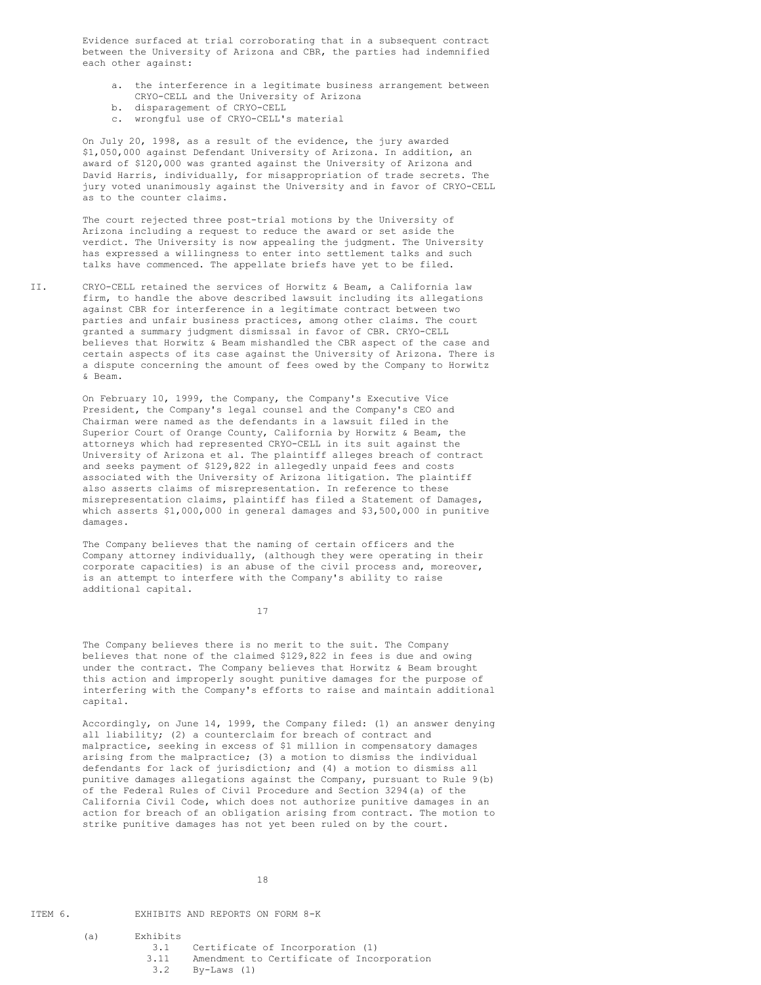Evidence surfaced at trial corroborating that in a subsequent contract between the University of Arizona and CBR, the parties had indemnified each other against:

- a. the interference in a legitimate business arrangement between CRYO-CELL and the University of Arizona
- b. disparagement of CRYO-CELL
- c. wrongful use of CRYO-CELL's material

On July 20, 1998, as a result of the evidence, the jury awarded \$1,050,000 against Defendant University of Arizona. In addition, an award of \$120,000 was granted against the University of Arizona and David Harris, individually, for misappropriation of trade secrets. The jury voted unanimously against the University and in favor of CRYO-CELL as to the counter claims.

The court rejected three post-trial motions by the University of Arizona including a request to reduce the award or set aside the verdict. The University is now appealing the judgment. The University has expressed a willingness to enter into settlement talks and such talks have commenced. The appellate briefs have yet to be filed.

II. CRYO-CELL retained the services of Horwitz & Beam, a California law firm, to handle the above described lawsuit including its allegations against CBR for interference in a legitimate contract between two parties and unfair business practices, among other claims. The court granted a summary judgment dismissal in favor of CBR. CRYO-CELL believes that Horwitz & Beam mishandled the CBR aspect of the case and certain aspects of its case against the University of Arizona. There is a dispute concerning the amount of fees owed by the Company to Horwitz & Beam.

> On February 10, 1999, the Company, the Company's Executive Vice President, the Company's legal counsel and the Company's CEO and Chairman were named as the defendants in a lawsuit filed in the Superior Court of Orange County, California by Horwitz & Beam, the attorneys which had represented CRYO-CELL in its suit against the University of Arizona et al. The plaintiff alleges breach of contract and seeks payment of \$129,822 in allegedly unpaid fees and costs associated with the University of Arizona litigation. The plaintiff also asserts claims of misrepresentation. In reference to these misrepresentation claims, plaintiff has filed a Statement of Damages, which asserts \$1,000,000 in general damages and \$3,500,000 in punitive damages.

The Company believes that the naming of certain officers and the Company attorney individually, (although they were operating in their corporate capacities) is an abuse of the civil process and, moreover, is an attempt to interfere with the Company's ability to raise additional capital.

17

The Company believes there is no merit to the suit. The Company believes that none of the claimed \$129,822 in fees is due and owing under the contract. The Company believes that Horwitz & Beam brought this action and improperly sought punitive damages for the purpose of interfering with the Company's efforts to raise and maintain additional capital.

Accordingly, on June 14, 1999, the Company filed: (1) an answer denying all liability; (2) a counterclaim for breach of contract and malpractice, seeking in excess of \$1 million in compensatory damages arising from the malpractice; (3) a motion to dismiss the individual defendants for lack of jurisdiction; and (4) a motion to dismiss all punitive damages allegations against the Company, pursuant to Rule 9(b) of the Federal Rules of Civil Procedure and Section 3294(a) of the California Civil Code, which does not authorize punitive damages in an action for breach of an obligation arising from contract. The motion to strike punitive damages has not yet been ruled on by the court.

ITEM 6. EXHIBITS AND REPORTS ON FORM 8-K

- (a) Exhibits 3.1 Certificate of Incorporation (1)
	- 3.11 Amendment to Certificate of Incorporation<br>3.2 By-Laws (1)
		- $Bv-Laws$  (1)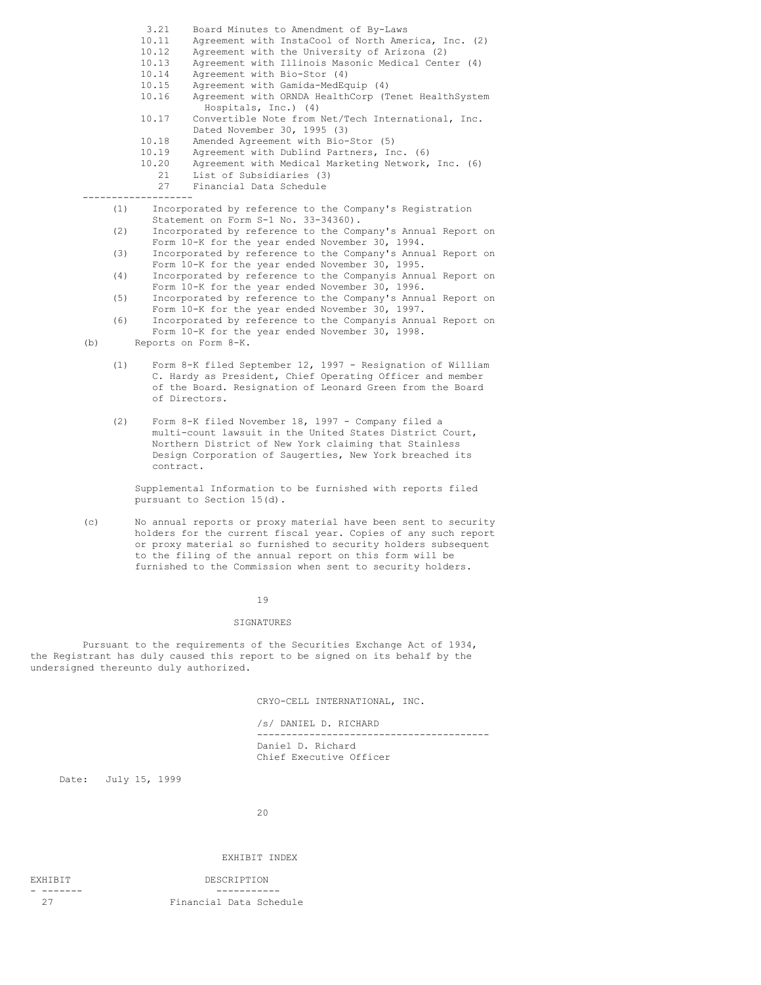- 3.21 Board Minutes to Amendment of By-Laws<br>10.11 Agreement with InstaCool of North Ame
- Agreement with InstaCool of North America, Inc. (2)
- 10.12 Agreement with the University of Arizona (2)<br>10.13 Agreement with Illinois Masonic Medical Cent
- Agreement with Illinois Masonic Medical Center (4)
- 10.14 Agreement with Bio-Stor (4)<br>10.15 Agreement with Gamida-MedEg
- Agreement with Gamida-MedEquip (4)
- 10.16 Agreement with ORNDA HealthCorp (Tenet HealthSystem Hospitals, Inc.) (4)
- 10.17 Convertible Note from Net/Tech International, Inc. Dated November 30, 1995 (3)
- 10.18 Amended Agreement with Bio-Stor (5)
- 
- 10.19 Agreement with Dublind Partners, Inc. (6)<br>10.20 Agreement with Medical Marketing Network, Agreement with Medical Marketing Network, Inc. (6) 21 List of Subsidiaries (3)
- 27 Financial Data Schedule

-------------------

- (1) Incorporated by reference to the Company's Registration Statement on Form S-1 No. 33-34360).
- (2) Incorporated by reference to the Company's Annual Report on Form 10-K for the year ended November 30, 1994.
- (3) Incorporated by reference to the Company's Annual Report on Form 10-K for the year ended November 30, 1995.
- (4) Incorporated by reference to the Companyis Annual Report on Form 10-K for the year ended November 30, 1996.
- (5) Incorporated by reference to the Company's Annual Report on Form 10-K for the year ended November 30, 1997.
- (6) Incorporated by reference to the Companyis Annual Report on Form 10-K for the year ended November 30, 1998.

(b) Reports on Form 8-K.

- (1) Form 8-K filed September 12, 1997 Resignation of William C. Hardy as President, Chief Operating Officer and member of the Board. Resignation of Leonard Green from the Board of Directors.
- (2) Form 8-K filed November 18, 1997 Company filed a multi-count lawsuit in the United States District Court, Northern District of New York claiming that Stainless Design Corporation of Saugerties, New York breached its contract.

Supplemental Information to be furnished with reports filed pursuant to Section 15(d).

(c) No annual reports or proxy material have been sent to security holders for the current fiscal year. Copies of any such report or proxy material so furnished to security holders subsequent to the filing of the annual report on this form will be furnished to the Commission when sent to security holders.

## 19

## SIGNATURES

Pursuant to the requirements of the Securities Exchange Act of 1934, the Registrant has duly caused this report to be signed on its behalf by the undersigned thereunto duly authorized.

CRYO-CELL INTERNATIONAL, INC.

/s/ DANIEL D. RICHARD ---------------------------------------- Daniel D. Richard Chief Executive Officer

Date: July 15, 1999

20

## EXHIBIT INDEX

EXHIBIT DESCRIPTION

- ------- ----------- Financial Data Schedule